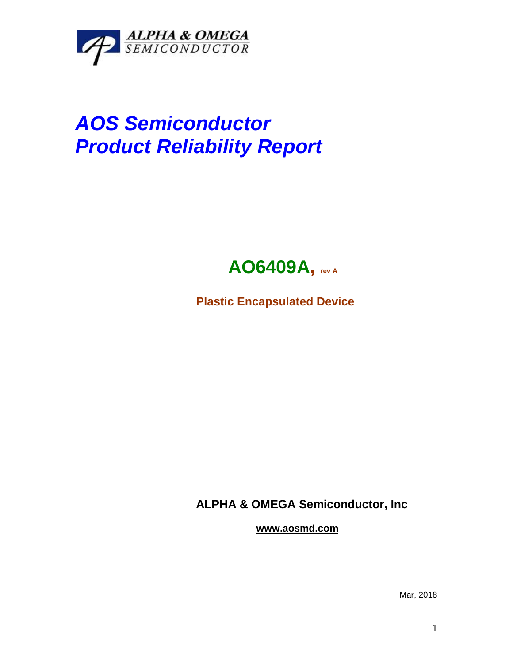

## *AOS Semiconductor Product Reliability Report*



**Plastic Encapsulated Device**

**ALPHA & OMEGA Semiconductor, Inc**

**www.aosmd.com**

Mar, 2018